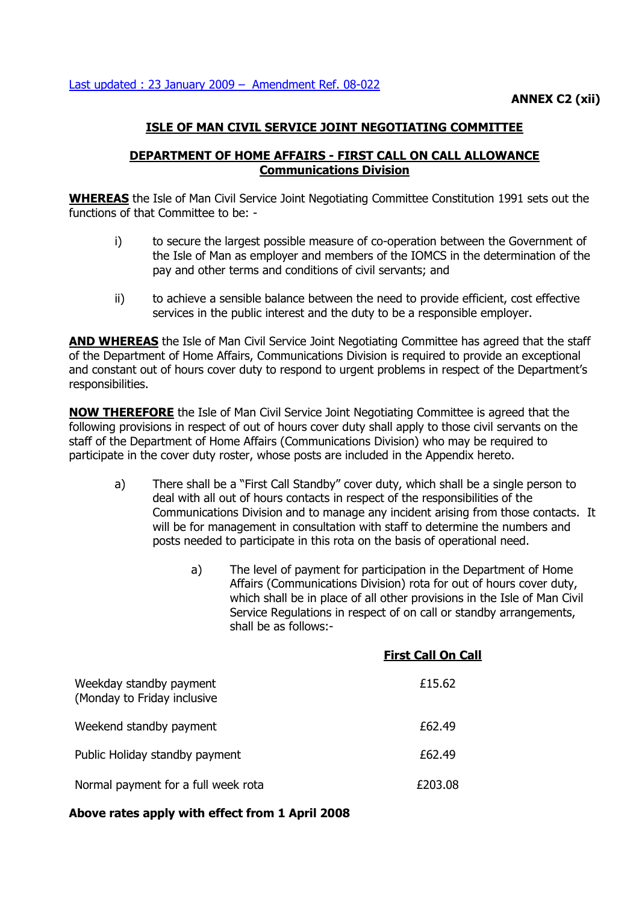# **ISLE OF MAN CIVIL SERVICE JOINT NEGOTIATING COMMITTEE**

## **DEPARTMENT OF HOME AFFAIRS - FIRST CALL ON CALL ALLOWANCE Communications Division**

**WHEREAS** the Isle of Man Civil Service Joint Negotiating Committee Constitution 1991 sets out the functions of that Committee to be: -

- i) to secure the largest possible measure of co-operation between the Government of the Isle of Man as employer and members of the IOMCS in the determination of the pay and other terms and conditions of civil servants; and
- ii) to achieve a sensible balance between the need to provide efficient, cost effective services in the public interest and the duty to be a responsible employer.

**AND WHEREAS** the Isle of Man Civil Service Joint Negotiating Committee has agreed that the staff of the Department of Home Affairs, Communications Division is required to provide an exceptional and constant out of hours cover duty to respond to urgent problems in respect of the Department's responsibilities.

**NOW THEREFORE** the Isle of Man Civil Service Joint Negotiating Committee is agreed that the following provisions in respect of out of hours cover duty shall apply to those civil servants on the staff of the Department of Home Affairs (Communications Division) who may be required to participate in the cover duty roster, whose posts are included in the Appendix hereto.

- a) There shall be a "First Call Standby" cover duty, which shall be a single person to deal with all out of hours contacts in respect of the responsibilities of the Communications Division and to manage any incident arising from those contacts. It will be for management in consultation with staff to determine the numbers and posts needed to participate in this rota on the basis of operational need.
	- a) The level of payment for participation in the Department of Home Affairs (Communications Division) rota for out of hours cover duty, which shall be in place of all other provisions in the Isle of Man Civil Service Regulations in respect of on call or standby arrangements, shall be as follows:-

|                                                        | <b>First Call On Call</b> |
|--------------------------------------------------------|---------------------------|
| Weekday standby payment<br>(Monday to Friday inclusive | £15.62                    |
| Weekend standby payment                                | £62.49                    |
| Public Holiday standby payment                         | £62.49                    |
| Normal payment for a full week rota                    | £203.08                   |

### **Above rates apply with effect from 1 April 2008**